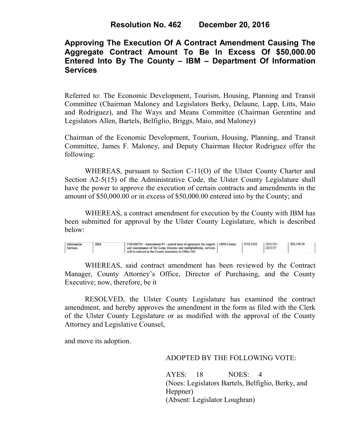# **Approving The Execution Of A Contract Amendment Causing The Aggregate Contract Amount To Be In Excess Of \$50,000.00 Entered Into By The County – IBM – Department Of Information Services**

Referred to: The Economic Development, Tourism, Housing, Planning and Transit Committee (Chairman Maloney and Legislators Berky, Delaune, Lapp, Litts, Maio and Rodriguez), and The Ways and Means Committee (Chairman Gerentine and Legislators Allen, Bartels, Belfiglio, Briggs, Maio, and Maloney)

Chairman of the Economic Development, Tourism, Housing, Planning, and Transit Committee, James F. Maloney, and Deputy Chairman Hector Rodriguez offer the following:

WHEREAS, pursuant to Section C-11(O) of the Ulster County Charter and Section A2-5(15) of the Administrative Code, the Ulster County Legislature shall have the power to approve the execution of certain contracts and amendments in the amount of \$50,000.00 or in excess of \$50,000.00 entered into by the County; and

 WHEREAS, a contract amendment for execution by the County with IBM has been submitted for approval by the Ulster County Legislature, which is described below:

| Information<br><b>IBM</b><br>Services | C09-000735 - Amendment #7 - extend term of agreement for support   100% County<br>and maintenance of the Lotus Domino and multiplatforms, services<br>will be reduced as the County transitions to Office 365 |  | NYS OGS | 12/31/16<br>12/31/17 | \$36,158.38 |  |
|---------------------------------------|---------------------------------------------------------------------------------------------------------------------------------------------------------------------------------------------------------------|--|---------|----------------------|-------------|--|
|---------------------------------------|---------------------------------------------------------------------------------------------------------------------------------------------------------------------------------------------------------------|--|---------|----------------------|-------------|--|

WHEREAS, said contract amendment has been reviewed by the Contract Manager, County Attorney's Office, Director of Purchasing, and the County Executive; now, therefore, be it

RESOLVED, the Ulster County Legislature has examined the contract amendment, and hereby approves the amendment in the form as filed with the Clerk of the Ulster County Legislature or as modified with the approval of the County Attorney and Legislative Counsel,

and move its adoption.

## ADOPTED BY THE FOLLOWING VOTE:

AYES: 18 NOES: 4 (Noes: Legislators Bartels, Belfiglio, Berky, and Heppner) (Absent: Legislator Loughran)